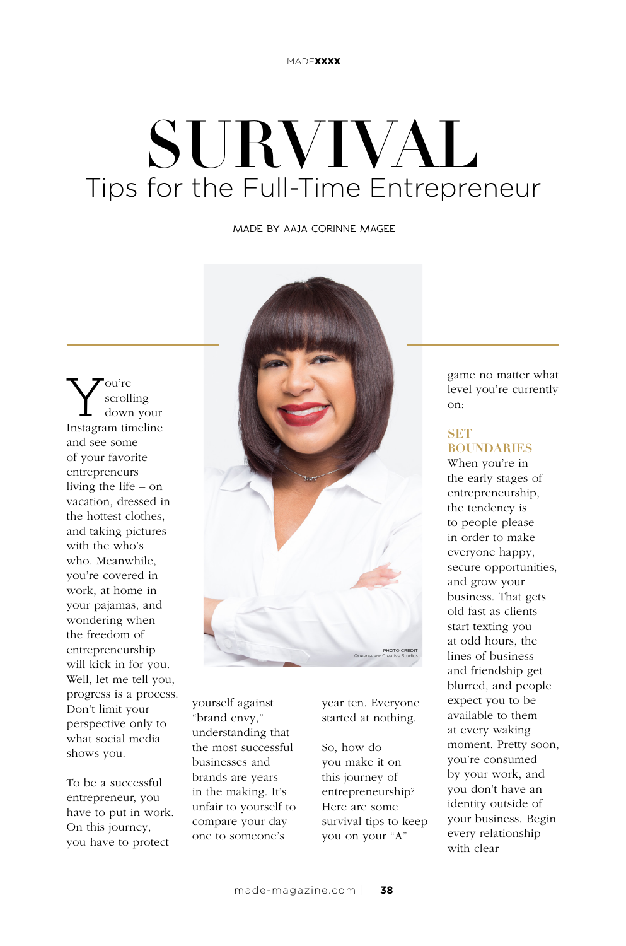# SURVIVAL Tips for the Full-Time Entrepreneur

**MADE BY AAJA CORINNE MAGEE**

 $\sum_{\substack{\text{corolling} \ \text{down your} \\ \text{Instantimeline}}}$ scrolling down your and see some of your favorite entrepreneurs living the life – on vacation, dressed in the hottest clothes, and taking pictures with the who's who. Meanwhile, you're covered in work, at home in your pajamas, and wondering when the freedom of entrepreneurship will kick in for you. Well, let me tell you, progress is a process. Don't limit your perspective only to what social media shows you.

To be a successful entrepreneur, you have to put in work. On this journey, you have to protect



yourself against "brand envy," understanding that the most successful businesses and brands are years in the making. It's unfair to yourself to compare your day one to someone's

year ten. Everyone started at nothing.

So, how do you make it on this journey of entrepreneurship? Here are some survival tips to keep you on your "A"

game no matter what level you're currently on:

### **SET BOUNDARIES**

When you're in the early stages of entrepreneurship, the tendency is to people please in order to make everyone happy, secure opportunities, and grow your business. That gets old fast as clients start texting you at odd hours, the lines of business and friendship get blurred, and people expect you to be available to them at every waking moment. Pretty soon, you're consumed by your work, and you don't have an identity outside of your business. Begin every relationship with clear